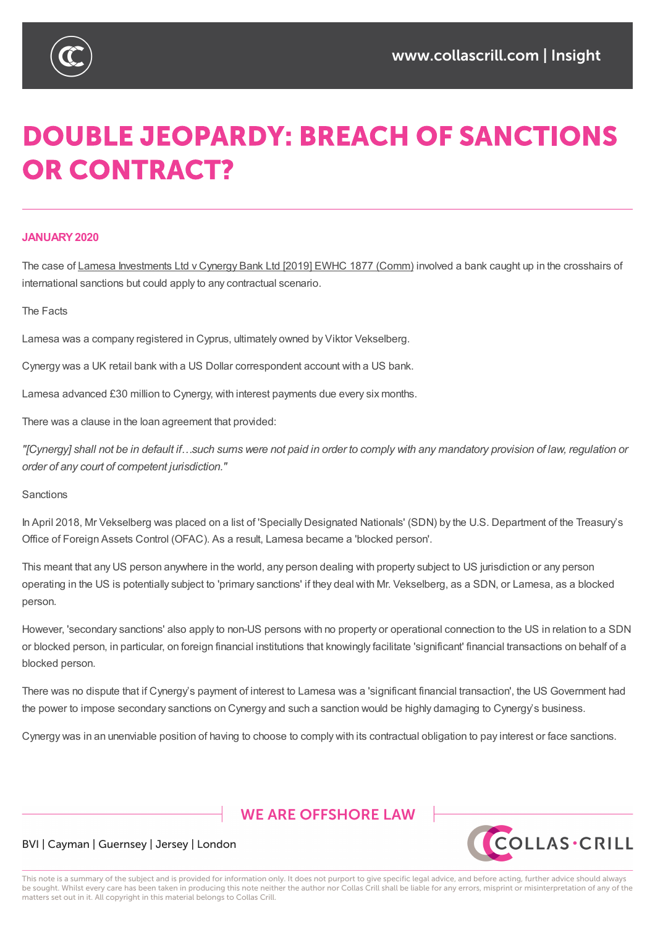

# **DOUBLE JEOPARDY: BREACH OF SANCTIONS OR CONTRACT?**

## **JANUARY2020**

The case of Lamesa Investments Ltd v Cynergy Bank Ltd [2019] EWHC 1877 (Comm) involved a bank caught up in the crosshairs of international sanctions but could apply to any contractual scenario.

The Facts

Lamesa was a company registered in Cyprus, ultimately owned by Viktor Vekselberg.

Cynergy was a UK retail bank with a US Dollar correspondent account with a US bank.

Lamesa advanced £30 million to Cynergy, with interest payments due every six months.

There was a clause in the loan agreement that provided:

"[Cynergy] shall not be in default if...such sums were not paid in order to comply with any mandatory provision of law, regulation or *order of any court of competent jurisdiction."*

**Sanctions** 

In April 2018, Mr Vekselberg was placed on a list of 'Specially Designated Nationals' (SDN) by the U.S. Department of the Treasury's Office of Foreign Assets Control (OFAC). As a result, Lamesa became a 'blocked person'.

This meant that any US person anywhere in the world, any person dealing with property subject to US jurisdiction or any person operating in the US is potentially subject to 'primary sanctions' if they deal with Mr. Vekselberg, as a SDN, or Lamesa, as a blocked person.

However, 'secondary sanctions' also apply to non-US persons with no property or operational connection to the US in relation to a SDN or blocked person, in particular, on foreign financial institutions that knowingly facilitate 'significant' financial transactions on behalf of a blocked person.

There was no dispute that if Cynergy's payment of interest to Lamesa was a 'significant financial transaction', the US Government had the power to impose secondary sanctions on Cynergy and such a sanction would be highly damaging to Cynergy's business.

Cynergy was in an unenviable position of having to choose to comply with its contractual obligation to pay interest or face sanctions.

# **WE ARE OFFSHORE I AW**



## BVI | Cayman | Guernsey | Jersey | London

This note is a summary of the subject and is provided for information only. It does not purport to give specific legal advice, and before acting, further advice should always be sought. Whilst every care has been taken in producing this note neither the author nor Collas Crill shall be liable for any errors, misprint or misinterpretation of any of the matters set out in it. All copyright in this material belongs to Collas Crill.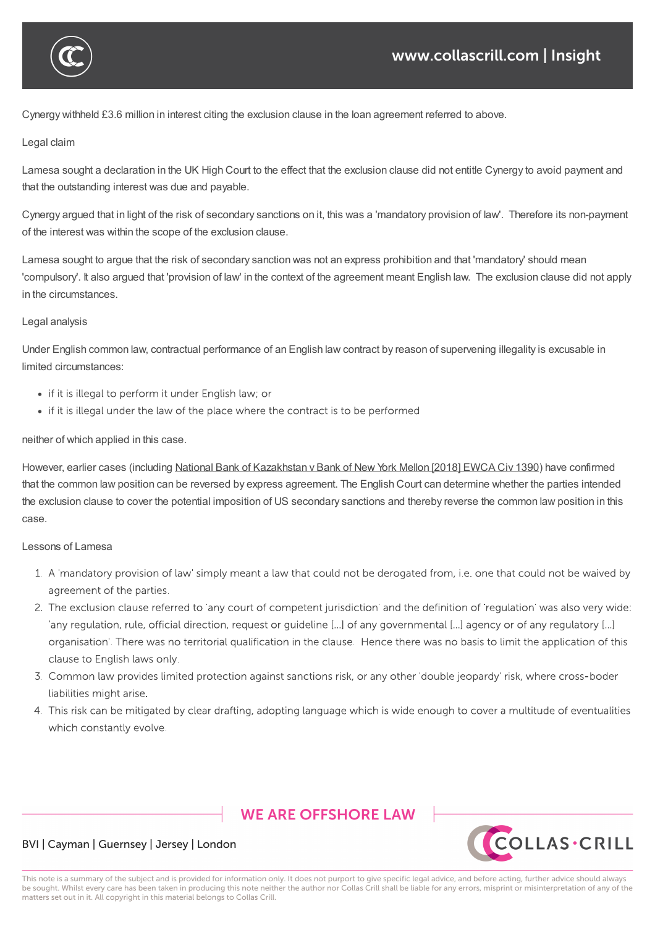

Cynergy withheld £3.6 million in interest citing the exclusion clause in the loan agreement referred to above.

#### Legal claim

blocked person.

Lamesa sought a declaration in the UK High Court to the effect that the exclusion clause did not entitle Cynergy to avoid payment and that the outstanding interest was due and payable.

Cynergy was in an unenviable position of having to choose to comply with its contractual obligation to pay interest or face sanctions.

Cynergy argued that in light of the risk of secondary sanctions on it, this was a 'mandatory provision of law'. Therefore its non-payment of the interest was within the scope of the exclusion clause.

Lamesa sought to argue that the risk of secondary sanction was not an express prohibition and that 'mandatory' should mean 'compulsory'. It also argued that 'provision of law' in the context of the agreement meant English law. The exclusion clause did not apply in the circumstances.

#### Legal analysis

Under English common law, contractual performance of an English law contract by reason of supervening illegality is excusable in limited circumstances:

- if it is illegal to perform it under English law; or
- if it is illegal under the law of the place where the contract is to be performed

#### neither of which applied in this case.

However, earlier cases (including National Bank of Kazakhstan v Bank of New York Mellon [2018] EWCA Civ 1390) have confirmed that the common law position can be reversed by express agreement. The English Court can determine whether the parties intended the exclusion clause to cover the potential imposition of US secondary sanctions and thereby reverse the common law position in this case.

#### Lessons of Lamesa

- 1. A 'mandatory provision of law' simply meant a law that could not be derogated from, i.e. one that could not be waived by agreement of the parties.
- 2. The exclusion clause referred to 'any court of competent jurisdiction' and the definition of 'regulation' was also very wide: 'any regulation, rule, official direction, request or guideline [...] of any governmental [...] agency or of any regulatory [...] organisation'. There was no territorial qualification in the clause. Hence there was no basis to limit the application of this clause to English laws only.
- 3. Common law provides limited protection against sanctions risk, or any other double jeopardy risk, where cross-boder liabilities might arise.
- 4. This risk can be mitigated by clear drafting, adopting language which is wide enough to cover a multitude of eventualities which constantly evolve.

# **WE ARE OFFSHORE I AW**



### BVI | Cayman | Guernsey | Jersey | London

This note is a summary of the subject and is provided for information only. It does not purport to give specific legal advice, and before acting, further advice should always be sought. Whilst every care has been taken in producing this note neither the author nor Collas Crill shall be liable for any errors, misprint or misinterpretation of any of the matters set out in it. All copyright in this material belongs to Collas Crill.